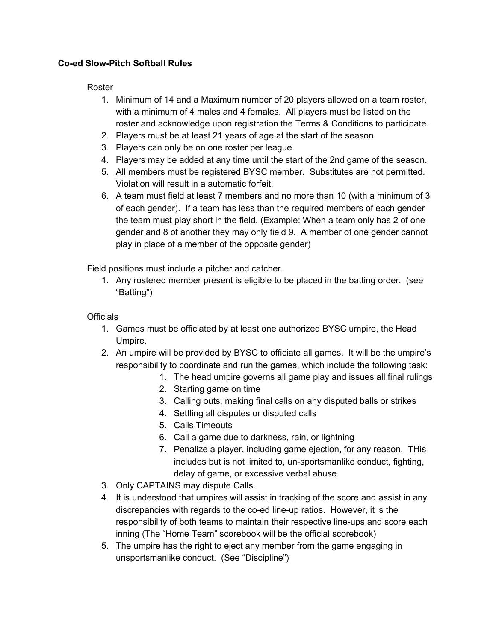## **Co-ed Slow-Pitch Softball Rules**

## Roster

- 1. Minimum of 14 and a Maximum number of 20 players allowed on a team roster, with a minimum of 4 males and 4 females. All players must be listed on the roster and acknowledge upon registration the Terms & Conditions to participate.
- 2. Players must be at least 21 years of age at the start of the season.
- 3. Players can only be on one roster per league.
- 4. Players may be added at any time until the start of the 2nd game of the season.
- 5. All members must be registered BYSC member. Substitutes are not permitted. Violation will result in a automatic forfeit.
- 6. A team must field at least 7 members and no more than 10 (with a minimum of 3 of each gender). If a team has less than the required members of each gender the team must play short in the field. (Example: When a team only has 2 of one gender and 8 of another they may only field 9. A member of one gender cannot play in place of a member of the opposite gender)

Field positions must include a pitcher and catcher.

1. Any rostered member present is eligible to be placed in the batting order. (see "Batting")

## **Officials**

- 1. Games must be officiated by at least one authorized BYSC umpire, the Head Umpire.
- 2. An umpire will be provided by BYSC to officiate all games. It will be the umpire's responsibility to coordinate and run the games, which include the following task:
	- 1. The head umpire governs all game play and issues all final rulings
	- 2. Starting game on time
	- 3. Calling outs, making final calls on any disputed balls or strikes
	- 4. Settling all disputes or disputed calls
	- 5. Calls Timeouts
	- 6. Call a game due to darkness, rain, or lightning
	- 7. Penalize a player, including game ejection, for any reason. THis includes but is not limited to, un-sportsmanlike conduct, fighting, delay of game, or excessive verbal abuse.
- 3. Only CAPTAINS may dispute Calls.
- 4. It is understood that umpires will assist in tracking of the score and assist in any discrepancies with regards to the co-ed line-up ratios. However, it is the responsibility of both teams to maintain their respective line-ups and score each inning (The "Home Team" scorebook will be the official scorebook)
- 5. The umpire has the right to eject any member from the game engaging in unsportsmanlike conduct. (See "Discipline")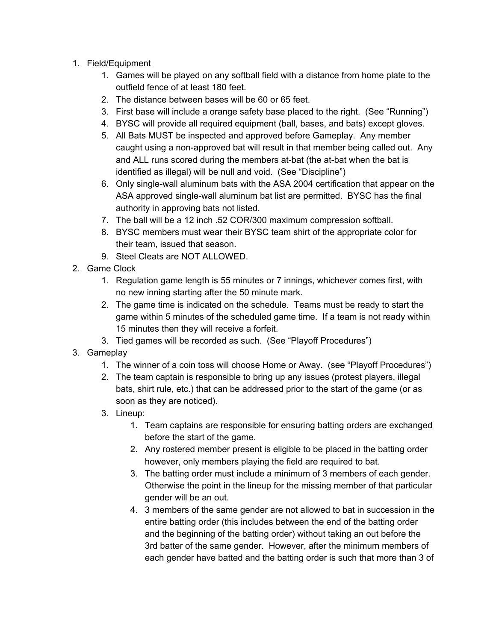- 1. Field/Equipment
	- 1. Games will be played on any softball field with a distance from home plate to the outfield fence of at least 180 feet.
	- 2. The distance between bases will be 60 or 65 feet.
	- 3. First base will include a orange safety base placed to the right. (See "Running")
	- 4. BYSC will provide all required equipment (ball, bases, and bats) except gloves.
	- 5. All Bats MUST be inspected and approved before Gameplay. Any member caught using a non-approved bat will result in that member being called out. Any and ALL runs scored during the members at-bat (the at-bat when the bat is identified as illegal) will be null and void. (See "Discipline")
	- 6. Only single-wall aluminum bats with the ASA 2004 certification that appear on the ASA approved single-wall aluminum bat list are permitted. BYSC has the final authority in approving bats not listed.
	- 7. The ball will be a 12 inch .52 COR/300 maximum compression softball.
	- 8. BYSC members must wear their BYSC team shirt of the appropriate color for their team, issued that season.
	- 9. Steel Cleats are NOT ALLOWED.
- 2. Game Clock
	- 1. Regulation game length is 55 minutes or 7 innings, whichever comes first, with no new inning starting after the 50 minute mark.
	- 2. The game time is indicated on the schedule. Teams must be ready to start the game within 5 minutes of the scheduled game time. If a team is not ready within 15 minutes then they will receive a forfeit.
	- 3. Tied games will be recorded as such. (See "Playoff Procedures")
- 3. Gameplay
	- 1. The winner of a coin toss will choose Home or Away. (see "Playoff Procedures")
	- 2. The team captain is responsible to bring up any issues (protest players, illegal bats, shirt rule, etc.) that can be addressed prior to the start of the game (or as soon as they are noticed).
	- 3. Lineup:
		- 1. Team captains are responsible for ensuring batting orders are exchanged before the start of the game.
		- 2. Any rostered member present is eligible to be placed in the batting order however, only members playing the field are required to bat.
		- 3. The batting order must include a minimum of 3 members of each gender. Otherwise the point in the lineup for the missing member of that particular gender will be an out.
		- 4. 3 members of the same gender are not allowed to bat in succession in the entire batting order (this includes between the end of the batting order and the beginning of the batting order) without taking an out before the 3rd batter of the same gender. However, after the minimum members of each gender have batted and the batting order is such that more than 3 of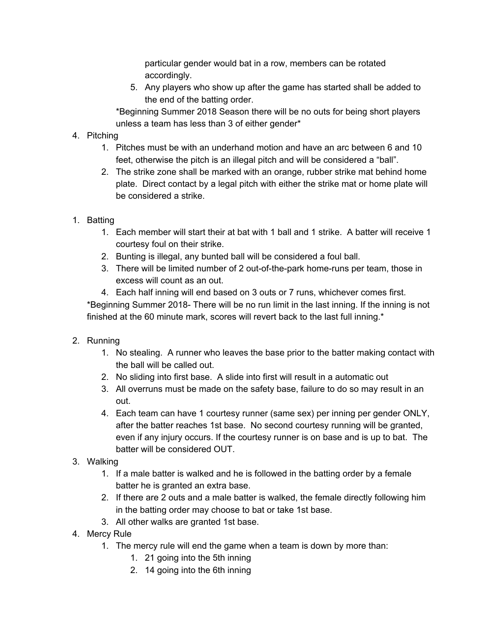particular gender would bat in a row, members can be rotated accordingly.

5. Any players who show up after the game has started shall be added to the end of the batting order.

\*Beginning Summer 2018 Season there will be no outs for being short players unless a team has less than 3 of either gender\*

## 4. Pitching

- 1. Pitches must be with an underhand motion and have an arc between 6 and 10 feet, otherwise the pitch is an illegal pitch and will be considered a "ball".
- 2. The strike zone shall be marked with an orange, rubber strike mat behind home plate. Direct contact by a legal pitch with either the strike mat or home plate will be considered a strike.
- 1. Batting
	- 1. Each member will start their at bat with 1 ball and 1 strike. A batter will receive 1 courtesy foul on their strike.
	- 2. Bunting is illegal, any bunted ball will be considered a foul ball.
	- 3. There will be limited number of 2 out-of-the-park home-runs per team, those in excess will count as an out.
	- 4. Each half inning will end based on 3 outs or 7 runs, whichever comes first.

\*Beginning Summer 2018- There will be no run limit in the last inning. If the inning is not finished at the 60 minute mark, scores will revert back to the last full inning.\*

- 2. Running
	- 1. No stealing. A runner who leaves the base prior to the batter making contact with the ball will be called out.
	- 2. No sliding into first base. A slide into first will result in a automatic out
	- 3. All overruns must be made on the safety base, failure to do so may result in an out.
	- 4. Each team can have 1 courtesy runner (same sex) per inning per gender ONLY, after the batter reaches 1st base. No second courtesy running will be granted, even if any injury occurs. If the courtesy runner is on base and is up to bat. The batter will be considered OUT.
- 3. Walking
	- 1. If a male batter is walked and he is followed in the batting order by a female batter he is granted an extra base.
	- 2. If there are 2 outs and a male batter is walked, the female directly following him in the batting order may choose to bat or take 1st base.
	- 3. All other walks are granted 1st base.
- 4. Mercy Rule
	- 1. The mercy rule will end the game when a team is down by more than:
		- 1. 21 going into the 5th inning
		- 2. 14 going into the 6th inning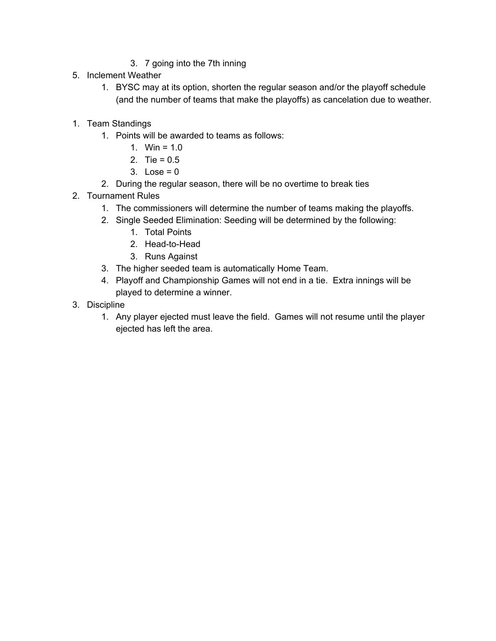- 3. 7 going into the 7th inning
- 5. Inclement Weather
	- 1. BYSC may at its option, shorten the regular season and/or the playoff schedule (and the number of teams that make the playoffs) as cancelation due to weather.
- 1. Team Standings
	- 1. Points will be awarded to teams as follows:
		- 1. Win =  $1.0$
		- 2. Tie =  $0.5$
		- 3. Lose =  $0$
	- 2. During the regular season, there will be no overtime to break ties
- 2. Tournament Rules
	- 1. The commissioners will determine the number of teams making the playoffs.
	- 2. Single Seeded Elimination: Seeding will be determined by the following:
		- 1. Total Points
		- 2. Head-to-Head
		- 3. Runs Against
	- 3. The higher seeded team is automatically Home Team.
	- 4. Playoff and Championship Games will not end in a tie. Extra innings will be played to determine a winner.
- 3. Discipline
	- 1. Any player ejected must leave the field. Games will not resume until the player ejected has left the area.